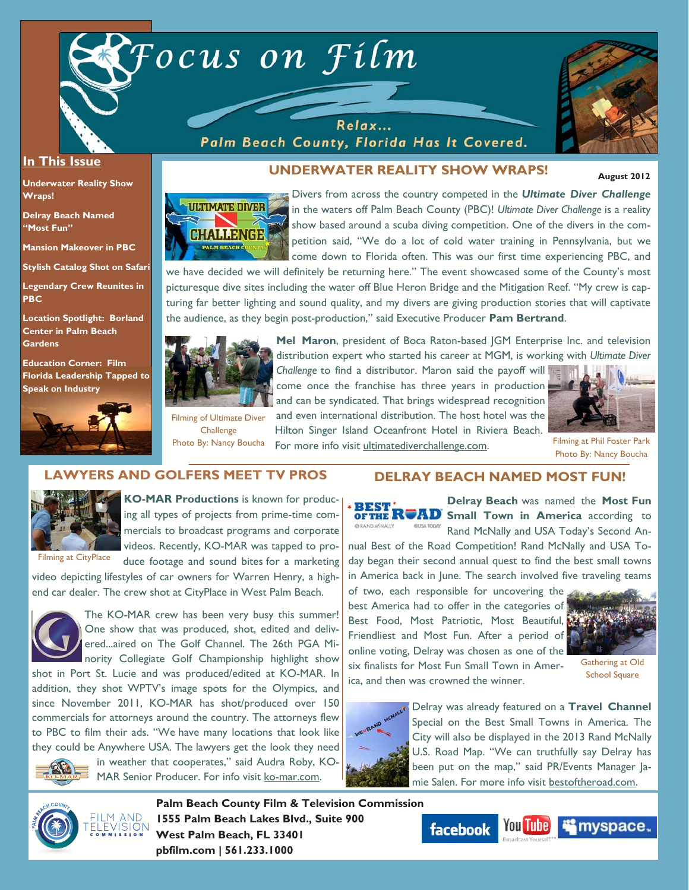

Relax... Palm Beach County, Florida Has It Covered.



### **In This Issue**

**Underwater Reality Show Wraps!** 

**Delray Beach Named "Most Fun"** 

**Mansion Makeover in PBC** 

**Stylish Catalog Shot on Safari** 

**Legendary Crew Reunites in PBC** 

**Location Spotlight: Borland Center in Palm Beach Gardens** 

**Education Corner: Film Florida Leadership Tapped to Speak on Industry**



# **UNDERWATER REALITY SHOW WRAPS!**

 **August 2012** 



Divers from across the country competed in the *Ultimate Diver Challenge*  in the waters off Palm Beach County (PBC)! *Ultimate Diver Challenge* is a reality show based around a scuba diving competition. One of the divers in the competition said, "We do a lot of cold water training in Pennsylvania, but we come down to Florida often. This was our first time experiencing PBC, and

we have decided we will definitely be returning here." The event showcased some of the County's most picturesque dive sites including the water off Blue Heron Bridge and the Mitigation Reef. "My crew is capturing far better lighting and sound quality, and my divers are giving production stories that will captivate the audience, as they begin post-production," said Executive Producer **Pam Bertrand**.



**Mel Maron**, president of Boca Raton-based JGM Enterprise Inc. and television distribution expert who started his career at MGM, is working with *Ultimate Diver* 

*Challenge* to find a distributor. Maron said the payoff will come once the franchise has three years in production and can be syndicated. That brings widespread recognition and even international distribution. The host hotel was the

Hilton Singer Island Oceanfront Hotel in Riviera Beach. Photo By: Nancy Boucha For more info visit ultimatediverchallenge.com. Filming at Phil Foster Park Filming of Ultimate Diver **Challenge** 



Photo By: Nancy Boucha

# **LAWYERS AND GOLFERS MEET TV PROS**



**KO-MAR Productions** is known for producing all types of projects from prime-time commercials to broadcast programs and corporate videos. Recently, KO-MAR was tapped to produce footage and sound bites for a marketing

video depicting lifestyles of car owners for Warren Henry, a highend car dealer. The crew shot at CityPlace in West Palm Beach.



The KO-MAR crew has been very busy this summer! One show that was produced, shot, edited and delivered...aired on The Golf Channel. The 26th PGA Minority Collegiate Golf Championship highlight show

shot in Port St. Lucie and was produced/edited at KO-MAR. In addition, they shot WPTV's image spots for the Olympics, and since November 2011, KO-MAR has shot/produced over 150 commercials for attorneys around the country. The attorneys flew to PBC to film their ads. "We have many locations that look like they could be Anywhere USA. The lawyers get the look they need



in weather that cooperates," said Audra Roby, KO-MAR Senior Producer. For info visit ko-mar.com.

# **DELRAY BEACH NAMED MOST FUN!**

**Delray Beach** was named the **Most Fun BEST' RUAD** Small Town in America according to Rand McNally and USA Today's Second An-

nual Best of the Road Competition! Rand McNally and USA Today began their second annual quest to find the best small towns in America back in June. The search involved five traveling teams

of two, each responsible for uncovering the best America had to offer in the categories of Best Food, Most Patriotic, Most Beautiful, Friendliest and Most Fun. After a period of online voting, Delray was chosen as one of the six finalists for Most Fun Small Town in America, and then was crowned the winner.



Gathering at Old School Square



Delray was already featured on a **Travel Channel**  Special on the Best Small Towns in America. The City will also be displayed in the 2013 Rand McNally U.S. Road Map. "We can truthfully say Delray has been put on the map," said PR/Events Manager Jamie Salen. For more info visit bestoftheroad.com.



**Palm Beach County Film & Television Commission 1555 Palm Beach Lakes Blvd., Suite 900 West Palm Beach, FL 33401 pbfilm.com | 561.233.1000** 

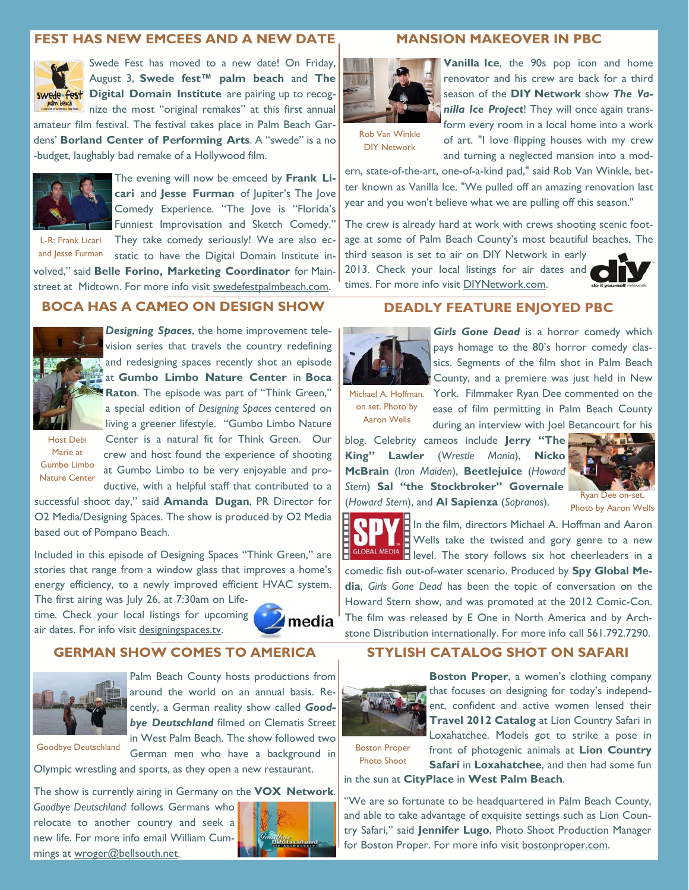### **FEST HAS NEW EMCEES AND A NEW DATE**



Swede Fest has moved to a new date! On Friday, August 3, **Swede fest™ palm beach** and **The Swede fest** Digital Domain Institute are pairing up to recog**nize the most "original remakes" at this first annual** 

amateur film festival. The festival takes place in Palm Beach Gardens' **Borland Center of Performing Arts**. A "swede" is a no -budget, laughably bad remake of a Hollywood film.



The evening will now be emceed by **Frank Licari** and **Jesse Furman** of Jupiter's The Jove Comedy Experience. "The Jove is "Florida's Funniest Improvisation and Sketch Comedy." They take comedy seriously! We are also ec-

L-R: Frank Licari and Jesse Furman

static to have the Digital Domain Institute involved," said **Belle Forino, Marketing Coordinator** for Mainstreet at Midtown. For more info visit swedefestpalmbeach.com.

### **BOCA HAS A CAMEO ON DESIGN SHOW**



*Designing Spaces*, the home improvement television series that travels the country redefining and redesigning spaces recently shot an episode at **Gumbo Limbo Nature Center** in **Boca Raton**. The episode was part of "Think Green," a special edition of *Designing Spaces* centered on living a greener lifestyle. "Gumbo Limbo Nature

Host Debi Marie at Gumbo Limbo Nature Center

Center is a natural fit for Think Green. Our crew and host found the experience of shooting at Gumbo Limbo to be very enjoyable and productive, with a helpful staff that contributed to a

successful shoot day," said **Amanda Dugan**, PR Director for O2 Media/Designing Spaces. The show is produced by O2 Media based out of Pompano Beach.

Included in this episode of Designing Spaces "Think Green," are stories that range from a window glass that improves a home's energy efficiency, to a newly improved efficient HVAC system. The first airing was July 26, at 7:30am on Life-

time. Check your local listings for upcoming air dates. For info visit designingspaces.tv.



### **GERMAN SHOW COMES TO AMERICA**



Palm Beach County hosts productions from around the world on an annual basis. Recently, a German reality show called *Goodbye Deutschland* filmed on Clematis Street in West Palm Beach. The show followed two

Goodbye Deutschland

German men who have a background in Olympic wrestling and sports, as they open a new restaurant.

The show is currently airing in Germany on the **VOX Network**.

*Goodbye Deutschland* follows Germans who relocate to another country and seek a new life. For more info email William Cummings at wroger@bellsouth.net.



### **MANSION MAKEOVER IN PBC**



**Vanilla Ice**, the 90s pop icon and home renovator and his crew are back for a third season of the **DIY Network** show *The Vanilla Ice Project*! They will once again transform every room in a local home into a work of art. "I love flipping houses with my crew

and turning a neglected mansion into a mod-

Rob Van Winkle DIY Network

ern, state-of-the-art, one-of-a-kind pad," said Rob Van Winkle, better known as Vanilla Ice. "We pulled off an amazing renovation last year and you won't believe what we are pulling off this season."

The crew is already hard at work with crews shooting scenic footage at some of Palm Beach County's most beautiful beaches. The third season is set to air on DIY Network in early

2013. Check your local listings for air dates and times. For more info visit DIYNetwork.com.



# **DEADLY FEATURE ENJOYED PBC**



Girls Gone Dead is a horror comedy which pays homage to the 80's horror comedy classics. Segments of the film shot in Palm Beach County, and a premiere was just held in New Michael A. Hoffman. York. Filmmaker Ryan Dee commented on the

on set. Photo by Aaron Wells

ease of film permitting in Palm Beach County during an interview with Joel Betancourt for his

blog. Celebrity cameos include **Jerry "The King" Lawler** (*Wrestle Mania*), **Nicko McBrain** (I*ron Maiden*), **Beetlejuice** (*Howard Stern*) **Sal "the Stockbroker" Governale** (*Howard Stern*), and **Al Sapienza** (*Sopranos*).



Photo by Aaron Wells

**F** In the film, directors Michael A. Hoffman and Aaron Ë Wells take the twisted and gory genre to a new level. The story follows six hot cheerleaders in a comedic fish out-of-water scenario. Produced by **Spy Global Media**, *Girls Gone Dead* has been the topic of conversation on the Howard Stern show, and was promoted at the 2012 Comic-Con. The film was released by E One in North America and by Archstone Distribution internationally. For more info call 561.792.7290.

## **STYLISH CATALOG SHOT ON SAFARI**



**Boston Proper**, a women's clothing company that focuses on designing for today's independent, confident and active women lensed their **Travel 2012 Catalog** at Lion Country Safari in Loxahatchee. Models got to strike a pose in front of photogenic animals at **Lion Country** 

**Safari in Loxahatchee**, and then had some fun

Boston Proper Photo Shoot

in the sun at **CityPlace** in **West Palm Beach**.

"We are so fortunate to be headquartered in Palm Beach County, and able to take advantage of exquisite settings such as Lion Country Safari," said **Jennifer Lugo**, Photo Shoot Production Manager for Boston Proper. For more info visit bostonproper.com.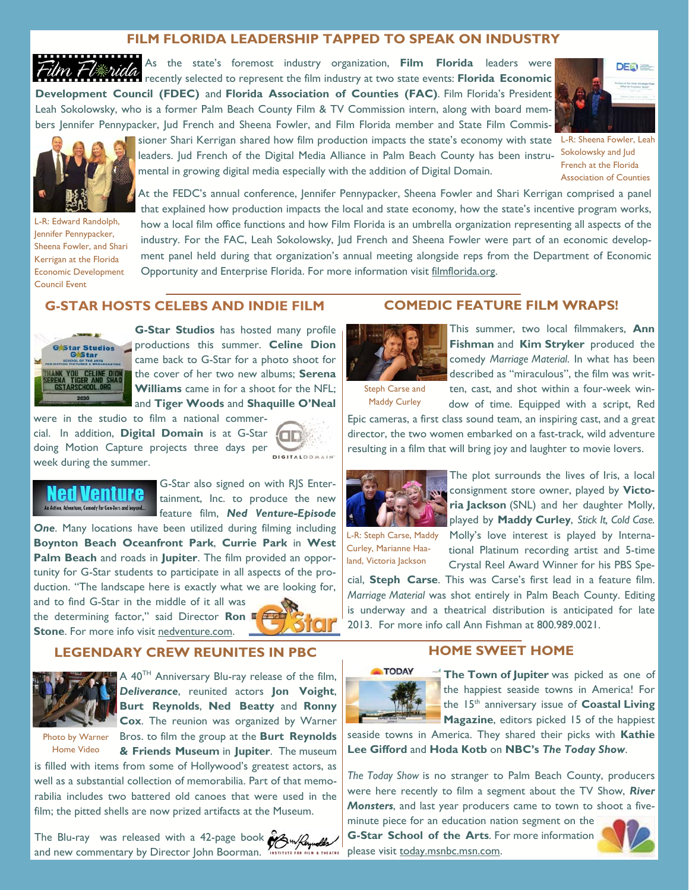# **FILM FLORIDA LEADERSHIP TAPPED TO SPEAK ON INDUSTRY**

As the state's foremost industry organization, **Film Florida** leaders were recently selected to represent the film industry at two state events: **Florida Economic Development Council (FDEC)** and **Florida Association of Counties (FAC)**. Film Florida's President Leah Sokolowsky, who is a former Palm Beach County Film & TV Commission intern, along with board members Jennifer Pennypacker, Jud French and Sheena Fowler, and Film Florida member and State Film Commis-



Sokolowsky and Jud French at the Florida Association of Counties



L-R: Edward Randolph, Jennifer Pennypacker, Sheena Fowler, and Shari Kerrigan at the Florida Economic Development Council Event

sioner Shari Kerrigan shared how film production impacts the state's economy with state L-R: Sheena Fowler, Leah leaders. Jud French of the Digital Media Alliance in Palm Beach County has been instrumental in growing digital media especially with the addition of Digital Domain.

At the FEDC's annual conference, Jennifer Pennypacker, Sheena Fowler and Shari Kerrigan comprised a panel that explained how production impacts the local and state economy, how the state's incentive program works, how a local film office functions and how Film Florida is an umbrella organization representing all aspects of the industry. For the FAC, Leah Sokolowsky, Jud French and Sheena Fowler were part of an economic development panel held during that organization's annual meeting alongside reps from the Department of Economic Opportunity and Enterprise Florida. For more information visit filmflorida.org.

## **G-STAR HOSTS CELEBS AND INDIE FILM**



**G-Star Studios** has hosted many profile productions this summer. **Celine Dion**  came back to G-Star for a photo shoot for the cover of her two new albums; **Serena Williams** came in for a shoot for the NFL; and **Tiger Woods** and **Shaquille O'Neal** 

were in the studio to film a national commercial. In addition, **Digital Domain** is at G-Star doing Motion Capture projects three days per week during the summer.





G-Star also signed on with RJS Entertainment, Inc. to produce the new feature film, *Ned Venture-Episode* 

*One*. Many locations have been utilized during filming including **Boynton Beach Oceanfront Park**, **Currie Park** in **West Palm Beach** and roads in **Jupiter**. The film provided an opportunity for G-Star students to participate in all aspects of the production. "The landscape here is exactly what we are looking for,

and to find G-Star in the middle of it all was the determining factor," said Director **Ron Stone**. For more info visit nedventure.com.



### **LEGENDARY CREW REUNITES IN PBC**



A 40TH Anniversary Blu-ray release of the film, *Deliverance*, reunited actors **Jon Voight**, **Burt Reynolds**, **Ned Beatty** and **Ronny Cox**. The reunion was organized by Warner

Home Video

Photo by Warner Bros. to film the group at the Burt Reynolds **& Friends Museum** in **Jupiter**. The museum

is filled with items from some of Hollywood's greatest actors, as well as a substantial collection of memorabilia. Part of that memorabilia includes two battered old canoes that were used in the film; the pitted shells are now prized artifacts at the Museum.

The Blu-ray was released with a 42-page book  $\partial N_{\text{w}}$ and new commentary by Director John Boorman.



This summer, two local filmmakers, **Ann Fishman** and **Kim Stryker** produced the comedy *Marriage Material*. In what has been described as "miraculous", the film was written, cast, and shot within a four-week window of time. Equipped with a script, Red

Maddy Curley

Epic cameras, a first class sound team, an inspiring cast, and a great director, the two women embarked on a fast-track, wild adventure resulting in a film that will bring joy and laughter to movie lovers.

**COMEDIC FEATURE FILM WRAPS!** 



The plot surrounds the lives of Iris, a local consignment store owner, played by **Victoria Jackson** (SNL) and her daughter Molly, played by **Maddy Curley**, *Stick It, Cold Case.*  Molly's love interest is played by International Platinum recording artist and 5-time Crystal Reel Award Winner for his PBS Spe-

Curley, Marianne Haaland, Victoria Jackson

cial, **Steph Carse**. This was Carse's first lead in a feature film. *Marriage Material* was shot entirely in Palm Beach County. Editing is underway and a theatrical distribution is anticipated for late 2013. For more info call Ann Fishman at 800.989.0021.

## **HOME SWEET HOME**



**The Town of Jupiter** was picked as one of the happiest seaside towns in America! For the 15th anniversary issue of **Coastal Living Magazine**, editors picked 15 of the happiest

seaside towns in America. They shared their picks with **Kathie Lee Gifford** and **Hoda Kotb** on **NBC's** *The Today Show*.

*The Today Show* is no stranger to Palm Beach County, producers were here recently to film a segment about the TV Show, *River Monsters*, and last year producers came to town to shoot a five-

minute piece for an education nation segment on the **G-Star School of the Arts**. For more information please visit today.msnbc.msn.com.